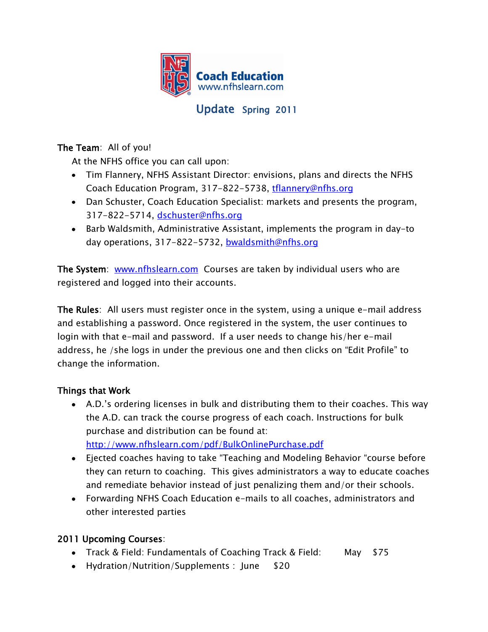

## Update Spring 2011

The Team: All of you!

At the NFHS office you can call upon:

- Tim Flannery, NFHS Assistant Director: envisions, plans and directs the NFHS Coach Education Program, 317-822-5738, [tflannery@nfhs.org](mailto:tflannery@nfhs.org)
- Dan Schuster, Coach Education Specialist: markets and presents the program, 317-822-5714, [dschuster@nfhs.org](mailto:dschuster@nfhs.org)
- Barb Waldsmith, Administrative Assistant, implements the program in day-to day operations, 317-822-5732, [bwaldsmith@nfhs.org](mailto:bwaldsmith@nfhs.org)

The System: [www.nfhslearn.com](http://www.nfhslearn.com/) Courses are taken by individual users who are registered and logged into their accounts.

The Rules: All users must register once in the system, using a unique e-mail address and establishing a password. Once registered in the system, the user continues to login with that e-mail and password. If a user needs to change his/her e-mail address, he /she logs in under the previous one and then clicks on "Edit Profile" to change the information.

## Things that Work

A.D.'s ordering licenses in bulk and distributing them to their coaches. This way the A.D. can track the course progress of each coach. Instructions for bulk purchase and distribution can be found at:

<http://www.nfhslearn.com/pdf/BulkOnlinePurchase.pdf>

- Ejected coaches having to take "Teaching and Modeling Behavior "course before they can return to coaching. This gives administrators a way to educate coaches and remediate behavior instead of just penalizing them and/or their schools.
- Forwarding NFHS Coach Education e-mails to all coaches, administrators and other interested parties

## 2011 Upcoming Courses:

- Track & Field: Fundamentals of Coaching Track & Field: May \$75
- Hydration/Nutrition/Supplements : June \$20